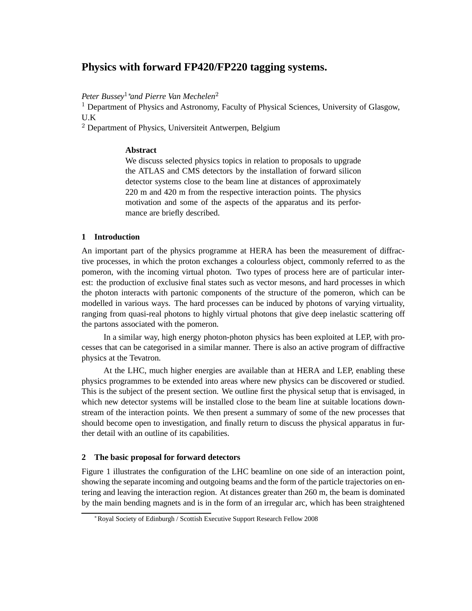# **Physics with forward FP420/FP220 tagging systems.**

*Peter Bussey*1∗*and Pierre Van Mechelen*<sup>2</sup>

<sup>1</sup> Department of Physics and Astronomy, Faculty of Physical Sciences, University of Glasgow, U.K

<sup>2</sup> Department of Physics, Universiteit Antwerpen, Belgium

# **Abstract**

We discuss selected physics topics in relation to proposals to upgrade the ATLAS and CMS detectors by the installation of forward silicon detector systems close to the beam line at distances of approximately 220 m and 420 m from the respective interaction points. The physics motivation and some of the aspects of the apparatus and its performance are briefly described.

# **1 Introduction**

An important part of the physics programme at HERA has been the measurement of diffractive processes, in which the proton exchanges a colourless object, commonly referred to as the pomeron, with the incoming virtual photon. Two types of process here are of particular interest: the production of exclusive final states such as vector mesons, and hard processes in which the photon interacts with partonic components of the structure of the pomeron, which can be modelled in various ways. The hard processes can be induced by photons of varying virtuality, ranging from quasi-real photons to highly virtual photons that give deep inelastic scattering off the partons associated with the pomeron.

In a similar way, high energy photon-photon physics has been exploited at LEP, with processes that can be categorised in a similar manner. There is also an active program of diffractive physics at the Tevatron.

At the LHC, much higher energies are available than at HERA and LEP, enabling these physics programmes to be extended into areas where new physics can be discovered or studied. This is the subject of the present section. We outline first the physical setup that is envisaged, in which new detector systems will be installed close to the beam line at suitable locations downstream of the interaction points. We then present a summary of some of the new processes that should become open to investigation, and finally return to discuss the physical apparatus in further detail with an outline of its capabilities.

# **2 The basic proposal for forward detectors**

Figure 1 illustrates the configuration of the LHC beamline on one side of an interaction point, showing the separate incoming and outgoing beams and the form of the particle trajectories on entering and leaving the interaction region. At distances greater than 260 m, the beam is dominated by the main bending magnets and is in the form of an irregular arc, which has been straightened

<sup>∗</sup>Royal Society of Edinburgh / Scottish Executive Support Research Fellow 2008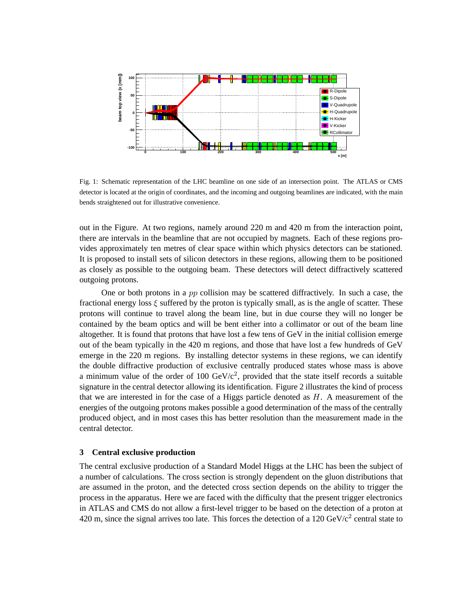

Fig. 1: Schematic representation of the LHC beamline on one side of an intersection point. The ATLAS or CMS detector is located at the origin of coordinates, and the incoming and outgoing beamlines are indicated, with the main bends straightened out for illustrative convenience.

out in the Figure. At two regions, namely around 220 m and 420 m from the interaction point, there are intervals in the beamline that are not occupied by magnets. Each of these regions provides approximately ten metres of clear space within which physics detectors can be stationed. It is proposed to install sets of silicon detectors in these regions, allowing them to be positioned as closely as possible to the outgoing beam. These detectors will detect diffractively scattered outgoing protons.

One or both protons in a pp collision may be scattered diffractively. In such a case, the fractional energy loss  $\xi$  suffered by the proton is typically small, as is the angle of scatter. These protons will continue to travel along the beam line, but in due course they will no longer be contained by the beam optics and will be bent either into a collimator or out of the beam line altogether. It is found that protons that have lost a few tens of GeV in the initial collision emerge out of the beam typically in the 420 m regions, and those that have lost a few hundreds of GeV emerge in the 220 m regions. By installing detector systems in these regions, we can identify the double diffractive production of exclusive centrally produced states whose mass is above a minimum value of the order of 100  $GeV/c^2$ , provided that the state itself records a suitable signature in the central detector allowing its identification. Figure 2 illustrates the kind of process that we are interested in for the case of a Higgs particle denoted as  $H$ . A measurement of the energies of the outgoing protons makes possible a good determination of the mass of the centrally produced object, and in most cases this has better resolution than the measurement made in the central detector.

## **3 Central exclusive production**

The central exclusive production of a Standard Model Higgs at the LHC has been the subject of a number of calculations. The cross section is strongly dependent on the gluon distributions that are assumed in the proton, and the detected cross section depends on the ability to trigger the process in the apparatus. Here we are faced with the difficulty that the present trigger electronics in ATLAS and CMS do not allow a first-level trigger to be based on the detection of a proton at 420 m, since the signal arrives too late. This forces the detection of a 120  $GeV/c^2$  central state to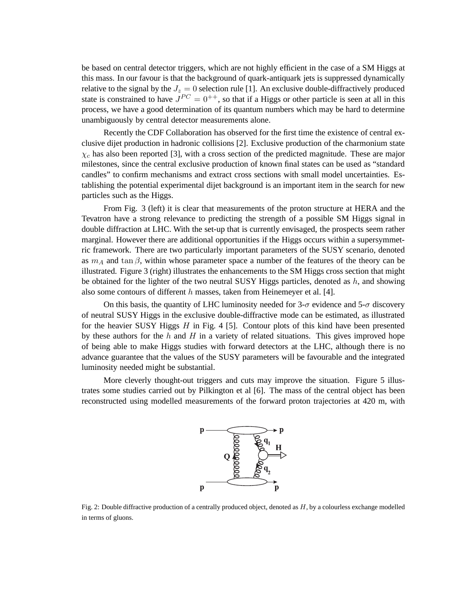be based on central detector triggers, which are not highly efficient in the case of a SM Higgs at this mass. In our favour is that the background of quark-antiquark jets is suppressed dynamically relative to the signal by the  $J_z = 0$  selection rule [1]. An exclusive double-diffractively produced state is constrained to have  $J^{PC} = 0^{++}$ , so that if a Higgs or other particle is seen at all in this process, we have a good determination of its quantum numbers which may be hard to determine unambiguously by central detector measurements alone.

Recently the CDF Collaboration has observed for the first time the existence of central exclusive dijet production in hadronic collisions [2]. Exclusive production of the charmonium state  $\chi_c$  has also been reported [3], with a cross section of the predicted magnitude. These are major milestones, since the central exclusive production of known final states can be used as "standard candles" to confirm mechanisms and extract cross sections with small model uncertainties. Establishing the potential experimental dijet background is an important item in the search for new particles such as the Higgs.

From Fig. 3 (left) it is clear that measurements of the proton structure at HERA and the Tevatron have a strong relevance to predicting the strength of a possible SM Higgs signal in double diffraction at LHC. With the set-up that is currently envisaged, the prospects seem rather marginal. However there are additional opportunities if the Higgs occurs within a supersymmetric framework. There are two particularly important parameters of the SUSY scenario, denoted as  $m_A$  and tan  $\beta$ , within whose parameter space a number of the features of the theory can be illustrated. Figure 3 (right) illustrates the enhancements to the SM Higgs cross section that might be obtained for the lighter of the two neutral SUSY Higgs particles, denoted as  $h$ , and showing also some contours of different  $h$  masses, taken from Heinemeyer et al. [4].

On this basis, the quantity of LHC luminosity needed for  $3-\sigma$  evidence and  $5-\sigma$  discovery of neutral SUSY Higgs in the exclusive double-diffractive mode can be estimated, as illustrated for the heavier SUSY Higgs  $H$  in Fig. 4 [5]. Contour plots of this kind have been presented by these authors for the h and  $H$  in a variety of related situations. This gives improved hope of being able to make Higgs studies with forward detectors at the LHC, although there is no advance guarantee that the values of the SUSY parameters will be favourable and the integrated luminosity needed might be substantial.

More cleverly thought-out triggers and cuts may improve the situation. Figure 5 illustrates some studies carried out by Pilkington et al [6]. The mass of the central object has been reconstructed using modelled measurements of the forward proton trajectories at 420 m, with



Fig. 2: Double diffractive production of a centrally produced object, denoted as  $H$ , by a colourless exchange modelled in terms of gluons.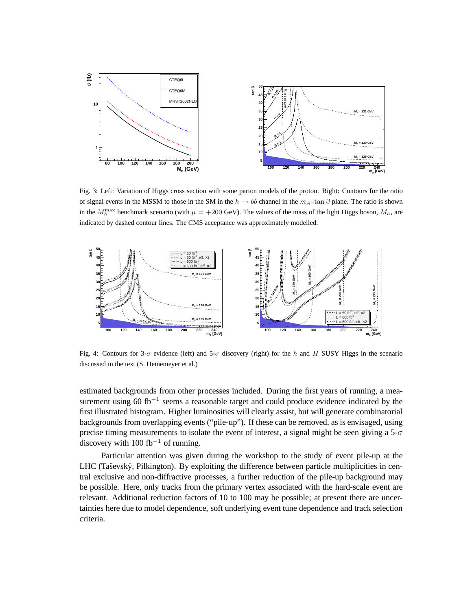

Fig. 3: Left: Variation of Higgs cross section with some parton models of the proton. Right: Contours for the ratio of signal events in the MSSM to those in the SM in the  $h \to b\bar{b}$  channel in the  $m_A$ -tan  $\beta$  plane. The ratio is shown in the  $M_h^{\text{max}}$  benchmark scenario (with  $\mu = +200 \text{ GeV}$ ). The values of the mass of the light Higgs boson,  $M_h$ , are indicated by dashed contour lines. The CMS acceptance was approximately modelled.



Fig. 4: Contours for 3- $\sigma$  evidence (left) and 5- $\sigma$  discovery (right) for the h and H SUSY Higgs in the scenario discussed in the text (S. Heinemeyer et al.)

estimated backgrounds from other processes included. During the first years of running, a measurement using 60 fb<sup>-1</sup> seems a reasonable target and could produce evidence indicated by the first illustrated histogram. Higher luminosities will clearly assist, but will generate combinatorial backgrounds from overlapping events ("pile-up"). If these can be removed, as is envisaged, using precise timing measurements to isolate the event of interest, a signal might be seen giving a  $5-\sigma$ discovery with 100 fb<sup>-1</sup> of running.

Particular attention was given during the workshop to the study of event pile-up at the LHC (Taševský, Pilkington). By exploiting the difference between particle multiplicities in central exclusive and non-diffractive processes, a further reduction of the pile-up background may be possible. Here, only tracks from the primary vertex associated with the hard-scale event are relevant. Additional reduction factors of 10 to 100 may be possible; at present there are uncertainties here due to model dependence, soft underlying event tune dependence and track selection criteria.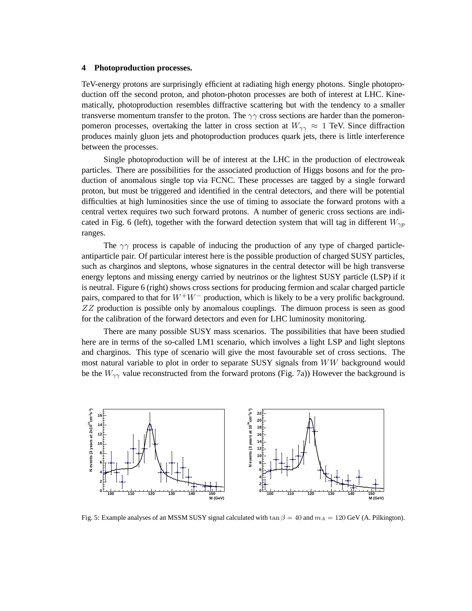### **4 Photoproduction processes.**

TeV-energy protons are surprisingly efficient at radiating high energy photons. Single photoproduction off the second proton, and photon-photon processes are both of interest at LHC. Kinematically, photoproduction resembles diffractive scattering but with the tendency to a smaller transverse momentum transfer to the proton. The  $\gamma\gamma$  cross sections are harder than the pomeronpomeron processes, overtaking the latter in cross section at  $W_{\gamma\gamma} \approx 1$  TeV. Since diffraction produces mainly gluon jets and photoproduction produces quark jets, there is little interference between the processes.

Single photoproduction will be of interest at the LHC in the production of electroweak particles. There are possibilities for the associated production of Higgs bosons and for the production of anomalous single top via FCNC. These processes are tagged by a single forward proton, but must be triggered and identified in the central detectors, and there will be potential difficulties at high luminosities since the use of timing to associate the forward protons with a central vertex requires two such forward protons. A number of generic cross sections are indicated in Fig. 6 (left), together with the forward detection system that will tag in different  $W_{\gamma p}$ ranges.

The  $\gamma\gamma$  process is capable of inducing the production of any type of charged particleantiparticle pair. Of particular interest here is the possible production of charged SUSY particles, such as charginos and sleptons, whose signatures in the central detector will be high transverse energy leptons and missing energy carried by neutrinos or the lightest SUSY particle (LSP) if it is neutral. Figure 6 (right) shows cross sections for producing fermion and scalar charged particle pairs, compared to that for  $W^+W^-$  production, which is likely to be a very prolific background. ZZ production is possible only by anomalous couplings. The dimuon process is seen as good for the calibration of the forward detectors and even for LHC luminosity monitoring.

There are many possible SUSY mass scenarios. The possibilities that have been studied here are in terms of the so-called LM1 scenario, which involves a light LSP and light sleptons and charginos. This type of scenario will give the most favourable set of cross sections. The most natural variable to plot in order to separate SUSY signals from WW background would be the  $W_{\gamma\gamma}$  value reconstructed from the forward protons (Fig. 7a)) However the background is



Fig. 5: Example analyses of an MSSM SUSY signal calculated with  $\tan \beta = 40$  and  $m_A = 120$  GeV (A. Pilkington).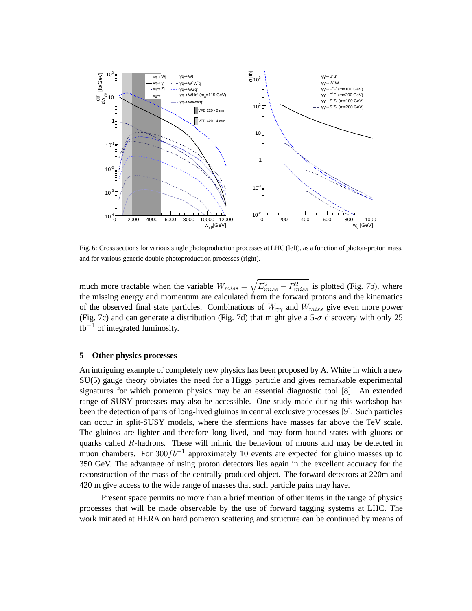

Fig. 6: Cross sections for various single photoproduction processes at LHC (left), as a function of photon-proton mass, and for various generic double photoproduction processes (right).

much more tractable when the variable  $W_{miss} = \sqrt{E_{miss}^2 - P_{miss}^2}$  is plotted (Fig. 7b), where the missing energy and momentum are calculated from the forward protons and the kinematics of the observed final state particles. Combinations of  $W_{\gamma\gamma}$  and  $W_{miss}$  give even more power (Fig. 7c) and can generate a distribution (Fig. 7d) that might give a 5- $\sigma$  discovery with only 25  $fb^{-1}$  of integrated luminosity.

## **5 Other physics processes**

An intriguing example of completely new physics has been proposed by A. White in which a new SU(5) gauge theory obviates the need for a Higgs particle and gives remarkable experimental signatures for which pomeron physics may be an essential diagnostic tool [8]. An extended range of SUSY processes may also be accessible. One study made during this workshop has been the detection of pairs of long-lived gluinos in central exclusive processes [9]. Such particles can occur in split-SUSY models, where the sfermions have masses far above the TeV scale. The gluinos are lighter and therefore long lived, and may form bound states with gluons or quarks called  $R$ -hadrons. These will mimic the behaviour of muons and may be detected in muon chambers. For  $300fb^{-1}$  approximately 10 events are expected for gluino masses up to 350 GeV. The advantage of using proton detectors lies again in the excellent accuracy for the reconstruction of the mass of the centrally produced object. The forward detectors at 220m and 420 m give access to the wide range of masses that such particle pairs may have.

Present space permits no more than a brief mention of other items in the range of physics processes that will be made observable by the use of forward tagging systems at LHC. The work initiated at HERA on hard pomeron scattering and structure can be continued by means of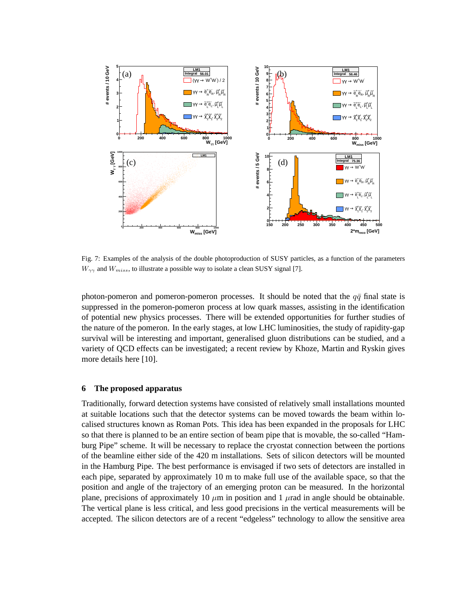

Fig. 7: Examples of the analysis of the double photoproduction of SUSY particles, as a function of the parameters  $W_{\gamma\gamma}$  and  $W_{miss}$ , to illustrate a possible way to isolate a clean SUSY signal [7].

photon-pomeron and pomeron-pomeron processes. It should be noted that the  $q\bar{q}$  final state is suppressed in the pomeron-pomeron process at low quark masses, assisting in the identification of potential new physics processes. There will be extended opportunities for further studies of the nature of the pomeron. In the early stages, at low LHC luminosities, the study of rapidity-gap survival will be interesting and important, generalised gluon distributions can be studied, and a variety of QCD effects can be investigated; a recent review by Khoze, Martin and Ryskin gives more details here [10].

#### **6 The proposed apparatus**

Traditionally, forward detection systems have consisted of relatively small installations mounted at suitable locations such that the detector systems can be moved towards the beam within localised structures known as Roman Pots. This idea has been expanded in the proposals for LHC so that there is planned to be an entire section of beam pipe that is movable, the so-called "Hamburg Pipe" scheme. It will be necessary to replace the cryostat connection between the portions of the beamline either side of the 420 m installations. Sets of silicon detectors will be mounted in the Hamburg Pipe. The best performance is envisaged if two sets of detectors are installed in each pipe, separated by approximately 10 m to make full use of the available space, so that the position and angle of the trajectory of an emerging proton can be measured. In the horizontal plane, precisions of approximately 10  $\mu$ m in position and 1  $\mu$ rad in angle should be obtainable. The vertical plane is less critical, and less good precisions in the vertical measurements will be accepted. The silicon detectors are of a recent "edgeless" technology to allow the sensitive area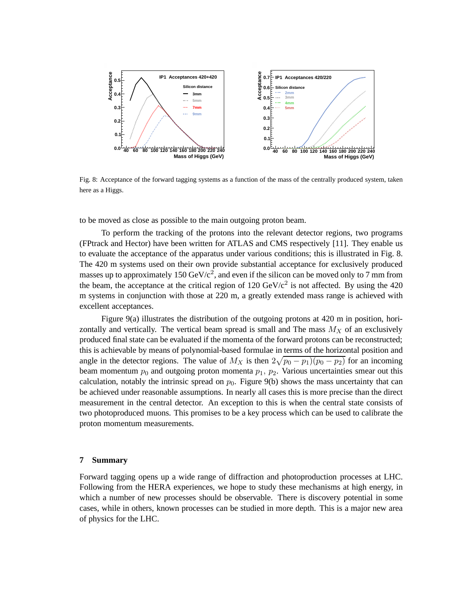

Fig. 8: Acceptance of the forward tagging systems as a function of the mass of the centrally produced system, taken here as a Higgs.

to be moved as close as possible to the main outgoing proton beam.

To perform the tracking of the protons into the relevant detector regions, two programs (FPtrack and Hector) have been written for ATLAS and CMS respectively [11]. They enable us to evaluate the acceptance of the apparatus under various conditions; this is illustrated in Fig. 8. The 420 m systems used on their own provide substantial acceptance for exclusively produced masses up to approximately 150  $GeV/c^2$ , and even if the silicon can be moved only to 7 mm from the beam, the acceptance at the critical region of 120  $GeV/c^2$  is not affected. By using the 420 m systems in conjunction with those at 220 m, a greatly extended mass range is achieved with excellent acceptances.

Figure 9(a) illustrates the distribution of the outgoing protons at 420 m in position, horizontally and vertically. The vertical beam spread is small and The mass  $M_X$  of an exclusively produced final state can be evaluated if the momenta of the forward protons can be reconstructed; this is achievable by means of polynomial-based formulae in terms of the horizontal position and angle in the detector regions. The value of  $M_X$  is then  $2\sqrt{p_0 - p_1(p_0 - p_2)}$  for an incoming beam momentum  $p_0$  and outgoing proton momenta  $p_1$ ,  $p_2$ . Various uncertainties smear out this calculation, notably the intrinsic spread on  $p_0$ . Figure 9(b) shows the mass uncertainty that can be achieved under reasonable assumptions. In nearly all cases this is more precise than the direct measurement in the central detector. An exception to this is when the central state consists of two photoproduced muons. This promises to be a key process which can be used to calibrate the proton momentum measurements.

#### **7 Summary**

Forward tagging opens up a wide range of diffraction and photoproduction processes at LHC. Following from the HERA experiences, we hope to study these mechanisms at high energy, in which a number of new processes should be observable. There is discovery potential in some cases, while in others, known processes can be studied in more depth. This is a major new area of physics for the LHC.